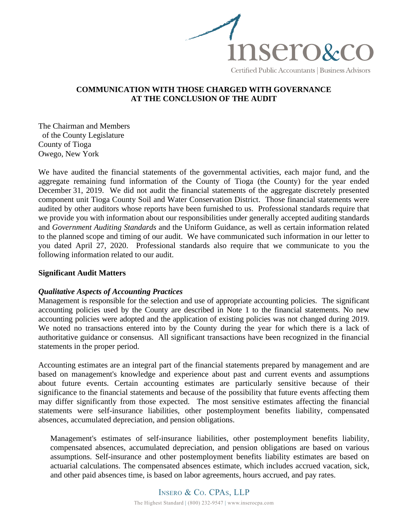

# **COMMUNICATION WITH THOSE CHARGED WITH GOVERNANCE AT THE CONCLUSION OF THE AUDIT**

The Chairman and Members of the County Legislature County of Tioga Owego, New York

We have audited the financial statements of the governmental activities, each major fund, and the aggregate remaining fund information of the County of Tioga (the County) for the year ended December 31, 2019. We did not audit the financial statements of the aggregate discretely presented component unit Tioga County Soil and Water Conservation District. Those financial statements were audited by other auditors whose reports have been furnished to us. Professional standards require that we provide you with information about our responsibilities under generally accepted auditing standards and *Government Auditing Standards* and the Uniform Guidance, as well as certain information related to the planned scope and timing of our audit. We have communicated such information in our letter to you dated April 27, 2020. Professional standards also require that we communicate to you the following information related to our audit.

### **Significant Audit Matters**

### *Qualitative Aspects of Accounting Practices*

Management is responsible for the selection and use of appropriate accounting policies. The significant accounting policies used by the County are described in Note 1 to the financial statements. No new accounting policies were adopted and the application of existing policies was not changed during 2019. We noted no transactions entered into by the County during the year for which there is a lack of authoritative guidance or consensus. All significant transactions have been recognized in the financial statements in the proper period.

Accounting estimates are an integral part of the financial statements prepared by management and are based on management's knowledge and experience about past and current events and assumptions about future events. Certain accounting estimates are particularly sensitive because of their significance to the financial statements and because of the possibility that future events affecting them may differ significantly from those expected. The most sensitive estimates affecting the financial statements were self-insurance liabilities, other postemployment benefits liability, compensated absences, accumulated depreciation, and pension obligations.

Management's estimates of self-insurance liabilities, other postemployment benefits liability, compensated absences, accumulated depreciation, and pension obligations are based on various assumptions. Self-insurance and other postemployment benefits liability estimates are based on actuarial calculations. The compensated absences estimate, which includes accrued vacation, sick, and other paid absences time, is based on labor agreements, hours accrued, and pay rates.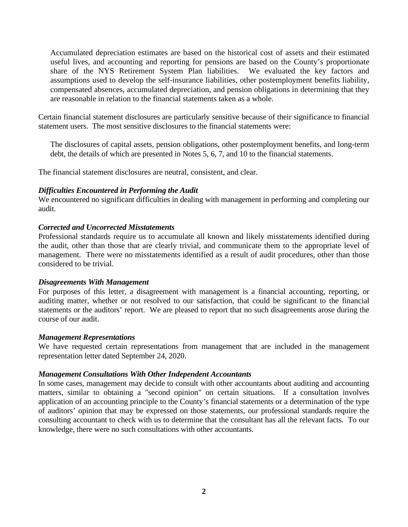Accumulated depreciation estimates are based on the historical cost of assets and their estimated useful lives, and accounting and reporting for pensions are based on the County's proportionate share of the NYS Retirement System Plan liabilities. We evaluated the key factors and assumptions used to develop the self-insurance liabilities, other postemployment benefits liability, compensated absences, accumulated depreciation, and pension obligations in determining that they are reasonable in relation to the financial statements taken as a whole.

Certain financial statement disclosures are particularly sensitive because of their significance to financial statement users. The most sensitive disclosures to the financial statements were:

The disclosures of capital assets, pension obligations, other postemployment benefits, and long-term debt, the details of which are presented in Notes 5, 6, 7, and 10 to the financial statements.

The financial statement disclosures are neutral, consistent, and clear.

## *Difficulties Encountered in Performing the Audit*

We encountered no significant difficulties in dealing with management in performing and completing our audit.

## *Corrected and Uncorrected Misstatements*

Professional standards require us to accumulate all known and likely misstatements identified during the audit, other than those that are clearly trivial, and communicate them to the appropriate level of management. There were no misstatements identified as a result of audit procedures, other than those considered to be trivial.

### *Disagreements With Management*

For purposes of this letter, a disagreement with management is a financial accounting, reporting, or auditing matter, whether or not resolved to our satisfaction, that could be significant to the financial statements or the auditors' report. We are pleased to report that no such disagreements arose during the course of our audit.

### *Management Representations*

We have requested certain representations from management that are included in the management representation letter dated September 24, 2020.

### *Management Consultations With Other Independent Accountants*

In some cases, management may decide to consult with other accountants about auditing and accounting matters, similar to obtaining a "second opinion" on certain situations. If a consultation involves application of an accounting principle to the County's financial statements or a determination of the type of auditors' opinion that may be expressed on those statements, our professional standards require the consulting accountant to check with us to determine that the consultant has all the relevant facts. To our knowledge, there were no such consultations with other accountants.